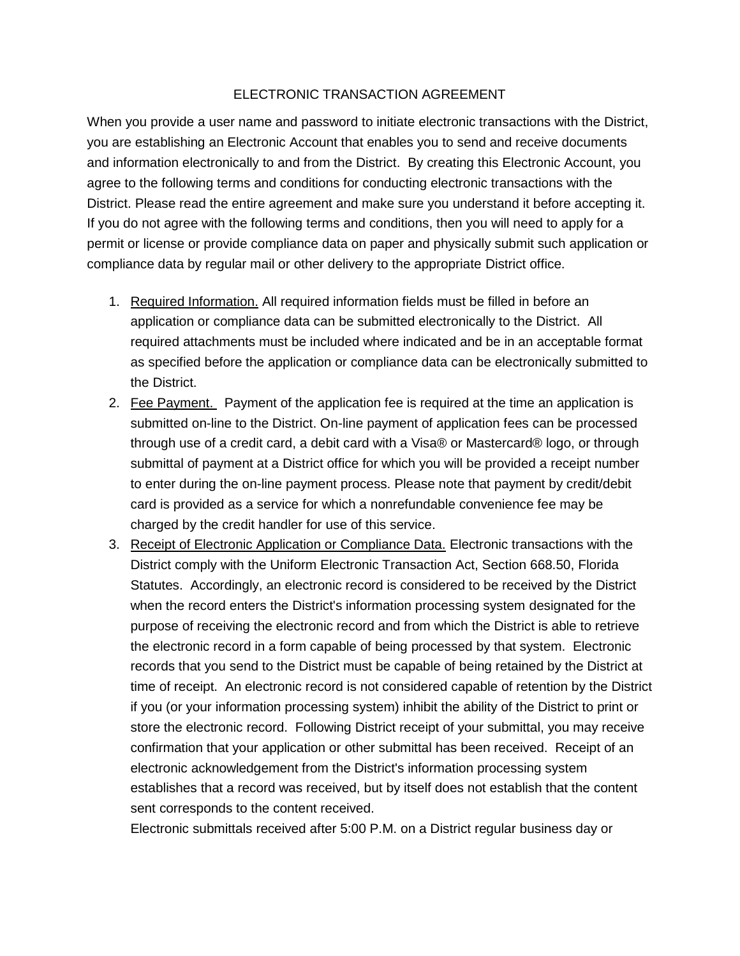## ELECTRONIC TRANSACTION AGREEMENT

When you provide a user name and password to initiate electronic transactions with the District, you are establishing an Electronic Account that enables you to send and receive documents and information electronically to and from the District. By creating this Electronic Account, you agree to the following terms and conditions for conducting electronic transactions with the District. Please read the entire agreement and make sure you understand it before accepting it. If you do not agree with the following terms and conditions, then you will need to apply for a permit or license or provide compliance data on paper and physically submit such application or compliance data by regular mail or other delivery to the appropriate District office.

- 1. Required Information. All required information fields must be filled in before an application or compliance data can be submitted electronically to the District. All required attachments must be included where indicated and be in an acceptable format as specified before the application or compliance data can be electronically submitted to the District.
- 2. Fee Payment. Payment of the application fee is required at the time an application is submitted on-line to the District. On-line payment of application fees can be processed through use of a credit card, a debit card with a Visa® or Mastercard® logo, or through submittal of payment at a District office for which you will be provided a receipt number to enter during the on-line payment process. Please note that payment by credit/debit card is provided as a service for which a nonrefundable convenience fee may be charged by the credit handler for use of this service.
- 3. Receipt of Electronic Application or Compliance Data. Electronic transactions with the District comply with the Uniform Electronic Transaction Act, Section 668.50, Florida Statutes. Accordingly, an electronic record is considered to be received by the District when the record enters the District's information processing system designated for the purpose of receiving the electronic record and from which the District is able to retrieve the electronic record in a form capable of being processed by that system. Electronic records that you send to the District must be capable of being retained by the District at time of receipt. An electronic record is not considered capable of retention by the District if you (or your information processing system) inhibit the ability of the District to print or store the electronic record. Following District receipt of your submittal, you may receive confirmation that your application or other submittal has been received. Receipt of an electronic acknowledgement from the District's information processing system establishes that a record was received, but by itself does not establish that the content sent corresponds to the content received.

Electronic submittals received after 5:00 P.M. on a District regular business day or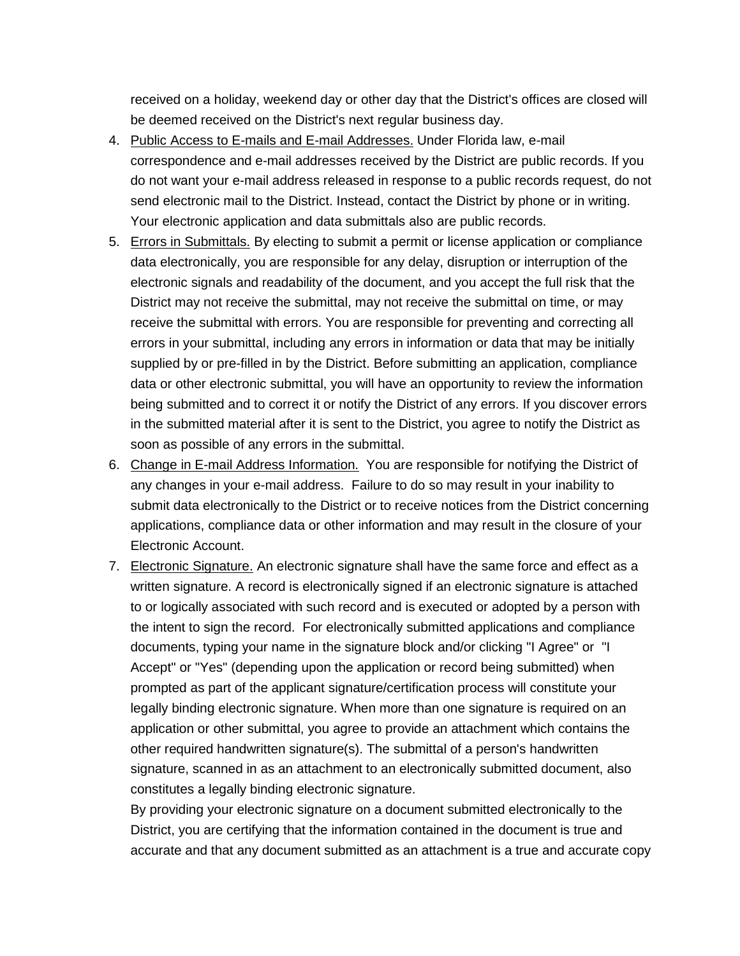received on a holiday, weekend day or other day that the District's offices are closed will be deemed received on the District's next regular business day.

- 4. Public Access to E-mails and E-mail Addresses. Under Florida law, e-mail correspondence and e-mail addresses received by the District are public records. If you do not want your e-mail address released in response to a public records request, do not send electronic mail to the District. Instead, contact the District by phone or in writing. Your electronic application and data submittals also are public records.
- 5. Errors in Submittals. By electing to submit a permit or license application or compliance data electronically, you are responsible for any delay, disruption or interruption of the electronic signals and readability of the document, and you accept the full risk that the District may not receive the submittal, may not receive the submittal on time, or may receive the submittal with errors. You are responsible for preventing and correcting all errors in your submittal, including any errors in information or data that may be initially supplied by or pre-filled in by the District. Before submitting an application, compliance data or other electronic submittal, you will have an opportunity to review the information being submitted and to correct it or notify the District of any errors. If you discover errors in the submitted material after it is sent to the District, you agree to notify the District as soon as possible of any errors in the submittal.
- 6. Change in E-mail Address Information. You are responsible for notifying the District of any changes in your e-mail address. Failure to do so may result in your inability to submit data electronically to the District or to receive notices from the District concerning applications, compliance data or other information and may result in the closure of your Electronic Account.
- 7. Electronic Signature. An electronic signature shall have the same force and effect as a written signature. A record is electronically signed if an electronic signature is attached to or logically associated with such record and is executed or adopted by a person with the intent to sign the record. For electronically submitted applications and compliance documents, typing your name in the signature block and/or clicking "I Agree" or "I Accept" or "Yes" (depending upon the application or record being submitted) when prompted as part of the applicant signature/certification process will constitute your legally binding electronic signature. When more than one signature is required on an application or other submittal, you agree to provide an attachment which contains the other required handwritten signature(s). The submittal of a person's handwritten signature, scanned in as an attachment to an electronically submitted document, also constitutes a legally binding electronic signature.

By providing your electronic signature on a document submitted electronically to the District, you are certifying that the information contained in the document is true and accurate and that any document submitted as an attachment is a true and accurate copy